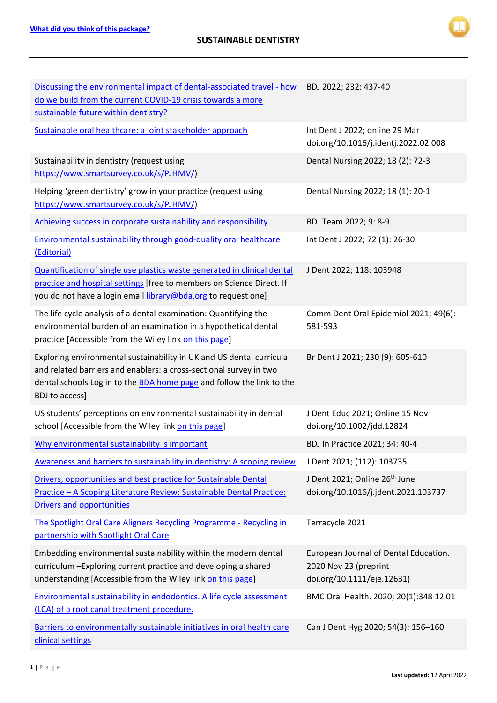

| Discussing the environmental impact of dental-associated travel - how<br>do we build from the current COVID-19 crisis towards a more<br>sustainable future within dentistry?                                                                        | BDJ 2022; 232: 437-40                                                                        |
|-----------------------------------------------------------------------------------------------------------------------------------------------------------------------------------------------------------------------------------------------------|----------------------------------------------------------------------------------------------|
| Sustainable oral healthcare: a joint stakeholder approach                                                                                                                                                                                           | Int Dent J 2022; online 29 Mar<br>doi.org/10.1016/j.identj.2022.02.008                       |
| Sustainability in dentistry (request using<br>https://www.smartsurvey.co.uk/s/PJHMV/)                                                                                                                                                               | Dental Nursing 2022; 18 (2): 72-3                                                            |
| Helping 'green dentistry' grow in your practice (request using<br>https://www.smartsurvey.co.uk/s/PJHMV/)                                                                                                                                           | Dental Nursing 2022; 18 (1): 20-1                                                            |
| Achieving success in corporate sustainability and responsibility                                                                                                                                                                                    | BDJ Team 2022; 9: 8-9                                                                        |
| Environmental sustainability through good-quality oral healthcare<br>(Editorial)                                                                                                                                                                    | Int Dent J 2022; 72 (1): 26-30                                                               |
| Quantification of single use plastics waste generated in clinical dental<br>practice and hospital settings [free to members on Science Direct. If<br>you do not have a login email library@bda.org to request one]                                  | J Dent 2022; 118: 103948                                                                     |
| The life cycle analysis of a dental examination: Quantifying the<br>environmental burden of an examination in a hypothetical dental<br>practice [Accessible from the Wiley link on this page]                                                       | Comm Dent Oral Epidemiol 2021; 49(6):<br>581-593                                             |
| Exploring environmental sustainability in UK and US dental curricula<br>and related barriers and enablers: a cross-sectional survey in two<br>dental schools Log in to the <b>BDA</b> home page and follow the link to the<br><b>BDJ</b> to access] | Br Dent J 2021; 230 (9): 605-610                                                             |
| US students' perceptions on environmental sustainability in dental<br>school [Accessible from the Wiley link on this page]                                                                                                                          | J Dent Educ 2021; Online 15 Nov<br>doi.org/10.1002/jdd.12824                                 |
| Why environmental sustainability is important                                                                                                                                                                                                       | BDJ In Practice 2021; 34: 40-4                                                               |
| Awareness and barriers to sustainability in dentistry: A scoping review                                                                                                                                                                             | J Dent 2021; (112): 103735                                                                   |
| Drivers, opportunities and best practice for Sustainable Dental<br>Practice - A Scoping Literature Review: Sustainable Dental Practice:<br>Drivers and opportunities                                                                                | J Dent 2021; Online 26 <sup>th</sup> June<br>doi.org/10.1016/j.jdent.2021.103737             |
| The Spotlight Oral Care Aligners Recycling Programme - Recycling in<br>partnership with Spotlight Oral Care                                                                                                                                         | Terracycle 2021                                                                              |
| Embedding environmental sustainability within the modern dental<br>curriculum - Exploring current practice and developing a shared<br>understanding [Accessible from the Wiley link on this page]                                                   | European Journal of Dental Education.<br>2020 Nov 23 (preprint<br>doi.org/10.1111/eje.12631) |
| Environmental sustainability in endodontics. A life cycle assessment<br>(LCA) of a root canal treatment procedure.                                                                                                                                  | BMC Oral Health. 2020; 20(1):348 12 01                                                       |
| Barriers to environmentally sustainable initiatives in oral health care<br>clinical settings                                                                                                                                                        | Can J Dent Hyg 2020; 54(3): 156-160                                                          |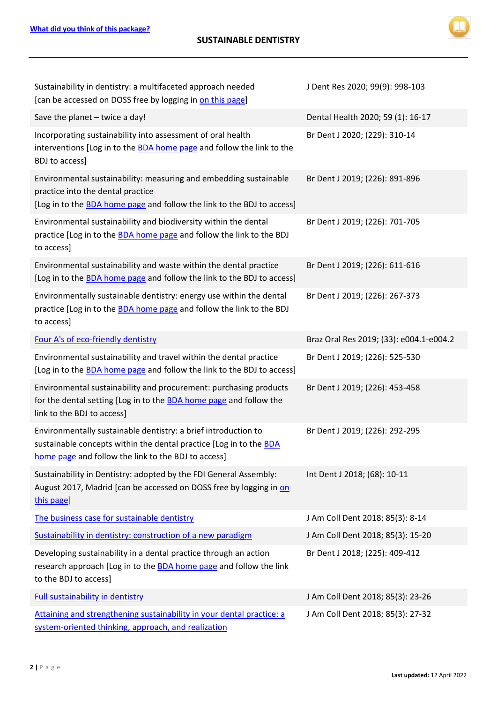

| Sustainability in dentistry: a multifaceted approach needed<br>[can be accessed on DOSS free by logging in on this page]                                                                    | J Dent Res 2020; 99(9): 998-103         |
|---------------------------------------------------------------------------------------------------------------------------------------------------------------------------------------------|-----------------------------------------|
| Save the planet - twice a day!                                                                                                                                                              | Dental Health 2020; 59 (1): 16-17       |
| Incorporating sustainability into assessment of oral health<br>interventions [Log in to the <b>BDA</b> home page and follow the link to the<br>BDJ to access]                               | Br Dent J 2020; (229): 310-14           |
| Environmental sustainability: measuring and embedding sustainable<br>practice into the dental practice<br>[Log in to the <b>BDA</b> home page and follow the link to the BDJ to access]     | Br Dent J 2019; (226): 891-896          |
| Environmental sustainability and biodiversity within the dental<br>practice [Log in to the <b>BDA</b> home page and follow the link to the BDJ<br>to access]                                | Br Dent J 2019; (226): 701-705          |
| Environmental sustainability and waste within the dental practice<br>[Log in to the BDA home page and follow the link to the BDJ to access]                                                 | Br Dent J 2019; (226): 611-616          |
| Environmentally sustainable dentistry: energy use within the dental<br>practice [Log in to the <b>BDA</b> home page and follow the link to the BDJ<br>to access]                            | Br Dent J 2019; (226): 267-373          |
| Four A's of eco-friendly dentistry                                                                                                                                                          | Braz Oral Res 2019; (33): e004.1-e004.2 |
| Environmental sustainability and travel within the dental practice                                                                                                                          |                                         |
| [Log in to the <b>BDA</b> home page and follow the link to the BDJ to access]                                                                                                               | Br Dent J 2019; (226): 525-530          |
| Environmental sustainability and procurement: purchasing products<br>for the dental setting [Log in to the <b>BDA</b> home page and follow the<br>link to the BDJ to access]                | Br Dent J 2019; (226): 453-458          |
| Environmentally sustainable dentistry: a brief introduction to<br>sustainable concepts within the dental practice [Log in to the BDA<br>home page and follow the link to the BDJ to access] | Br Dent J 2019; (226): 292-295          |
| Sustainability in Dentistry: adopted by the FDI General Assembly:<br>August 2017, Madrid [can be accessed on DOSS free by logging in on<br>this page]                                       | Int Dent J 2018; (68): 10-11            |
| The business case for sustainable dentistry                                                                                                                                                 | J Am Coll Dent 2018; 85(3): 8-14        |
| Sustainability in dentistry: construction of a new paradigm                                                                                                                                 | J Am Coll Dent 2018; 85(3): 15-20       |
| Developing sustainability in a dental practice through an action<br>research approach [Log in to the <b>BDA</b> home page and follow the link<br>to the BDJ to access]                      | Br Dent J 2018; (225): 409-412          |
| <b>Full sustainability in dentistry</b>                                                                                                                                                     | J Am Coll Dent 2018; 85(3): 23-26       |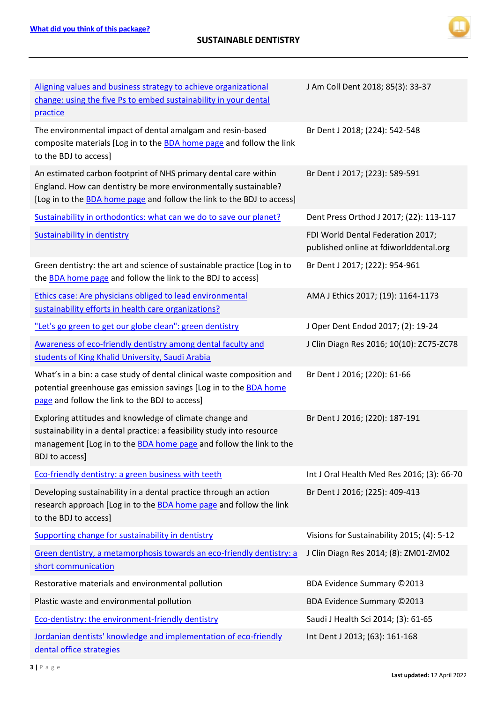

| Aligning values and business strategy to achieve organizational<br>change: using the five Ps to embed sustainability in your dental<br>practice                                                                                  | J Am Coll Dent 2018; 85(3): 33-37                                           |
|----------------------------------------------------------------------------------------------------------------------------------------------------------------------------------------------------------------------------------|-----------------------------------------------------------------------------|
| The environmental impact of dental amalgam and resin-based<br>composite materials [Log in to the BDA home page and follow the link<br>to the BDJ to access]                                                                      | Br Dent J 2018; (224): 542-548                                              |
| An estimated carbon footprint of NHS primary dental care within<br>England. How can dentistry be more environmentally sustainable?<br>[Log in to the <b>BDA</b> home page and follow the link to the BDJ to access]              | Br Dent J 2017; (223): 589-591                                              |
| Sustainability in orthodontics: what can we do to save our planet?                                                                                                                                                               | Dent Press Orthod J 2017; (22): 113-117                                     |
| Sustainability in dentistry                                                                                                                                                                                                      | FDI World Dental Federation 2017;<br>published online at fdiworlddental.org |
| Green dentistry: the art and science of sustainable practice [Log in to<br>the <b>BDA</b> home page and follow the link to the BDJ to access]                                                                                    | Br Dent J 2017; (222): 954-961                                              |
| Ethics case: Are physicians obliged to lead environmental<br>sustainability efforts in health care organizations?                                                                                                                | AMA J Ethics 2017; (19): 1164-1173                                          |
| "Let's go green to get our globe clean": green dentistry                                                                                                                                                                         | J Oper Dent Endod 2017; (2): 19-24                                          |
| Awareness of eco-friendly dentistry among dental faculty and<br>students of King Khalid University, Saudi Arabia                                                                                                                 | J Clin Diagn Res 2016; 10(10): ZC75-ZC78                                    |
| What's in a bin: a case study of dental clinical waste composition and<br>potential greenhouse gas emission savings [Log in to the BDA home<br>page and follow the link to the BDJ to access]                                    | Br Dent J 2016; (220): 61-66                                                |
| Exploring attitudes and knowledge of climate change and<br>sustainability in a dental practice: a feasibility study into resource<br>management [Log in to the <b>BDA</b> home page and follow the link to the<br>BDJ to access] | Br Dent J 2016; (220): 187-191                                              |
| Eco-friendly dentistry: a green business with teeth                                                                                                                                                                              | Int J Oral Health Med Res 2016; (3): 66-70                                  |
| Developing sustainability in a dental practice through an action<br>research approach [Log in to the <b>BDA</b> home page and follow the link<br>to the BDJ to access]                                                           | Br Dent J 2016; (225): 409-413                                              |
| Supporting change for sustainability in dentistry                                                                                                                                                                                | Visions for Sustainability 2015; (4): 5-12                                  |
| Green dentistry, a metamorphosis towards an eco-friendly dentistry: a<br>short communication                                                                                                                                     | J Clin Diagn Res 2014; (8): ZM01-ZM02                                       |
| Restorative materials and environmental pollution                                                                                                                                                                                | BDA Evidence Summary ©2013                                                  |
| Plastic waste and environmental pollution                                                                                                                                                                                        | BDA Evidence Summary ©2013                                                  |
| Eco-dentistry: the environment-friendly dentistry                                                                                                                                                                                | Saudi J Health Sci 2014; (3): 61-65                                         |
| Jordanian dentists' knowledge and implementation of eco-friendly<br>dental office strategies                                                                                                                                     | Int Dent J 2013; (63): 161-168                                              |

**3 |** Page